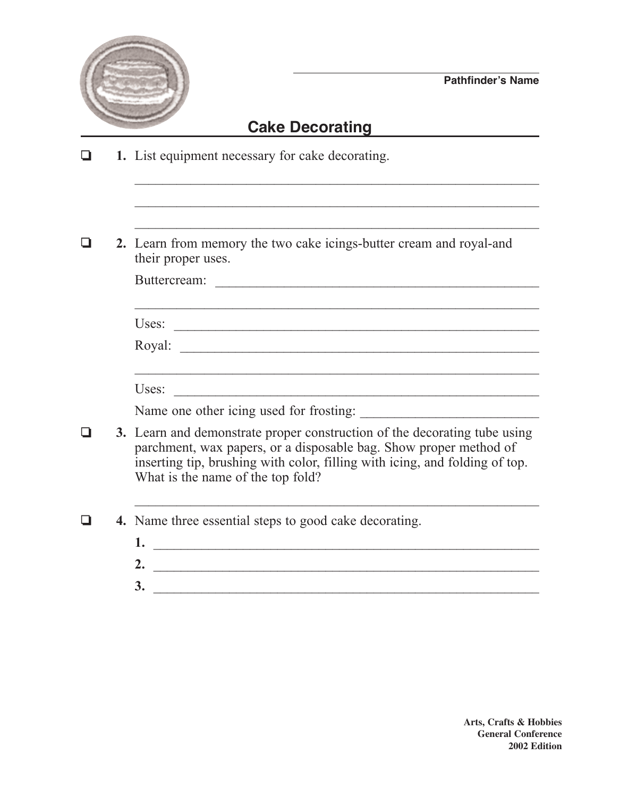

## **Cake Decorating**

- ❏ **1.** List equipment necessary for cake decorating.
- ❏ **2.** Learn from memory the two cake icings-butter cream and royal-and their proper uses.

| Buttercream: |  |  |  |
|--------------|--|--|--|
|              |  |  |  |

 $\mathcal{L}_\text{max}$  , and the contract of the contract of the contract of the contract of the contract of the contract of the contract of the contract of the contract of the contract of the contract of the contract of the contr

\_\_\_\_\_\_\_\_\_\_\_\_\_\_\_\_\_\_\_\_\_\_\_\_\_\_\_\_\_\_\_\_\_\_\_\_\_\_\_\_\_\_\_\_\_\_\_\_\_\_\_\_\_\_\_\_\_\_

| - -<br>$\sim \sim \sim$ |  |
|-------------------------|--|
|                         |  |

Royal:

Uses: \_\_\_\_\_\_\_\_\_\_\_\_\_\_\_\_\_\_\_\_\_\_\_\_\_\_\_\_\_\_\_\_\_\_\_\_\_\_\_\_\_\_\_\_\_\_\_\_\_\_\_\_\_

Name one other icing used for frosting:

- ❏ **3.** Learn and demonstrate proper construction of the decorating tube using parchment, wax papers, or a disposable bag. Show proper method of inserting tip, brushing with color, filling with icing, and folding of top. What is the name of the top fold?
- ❏ **4.** Name three essential steps to good cake decorating.
	- **1.** \_\_\_\_\_\_\_\_\_\_\_\_\_\_\_\_\_\_\_\_\_\_\_\_\_\_\_\_\_\_\_\_\_\_\_\_\_\_\_\_\_\_\_\_\_\_\_\_\_\_\_\_\_\_\_\_ **2.** \_\_\_\_\_\_\_\_\_\_\_\_\_\_\_\_\_\_\_\_\_\_\_\_\_\_\_\_\_\_\_\_\_\_\_\_\_\_\_\_\_\_\_\_\_\_\_\_\_\_\_\_\_\_\_\_

 $\mathcal{L}_\text{max}$  , and the contract of the contract of the contract of the contract of the contract of the contract of the contract of the contract of the contract of the contract of the contract of the contract of the contr

**3.** \_\_\_\_\_\_\_\_\_\_\_\_\_\_\_\_\_\_\_\_\_\_\_\_\_\_\_\_\_\_\_\_\_\_\_\_\_\_\_\_\_\_\_\_\_\_\_\_\_\_\_\_\_\_\_\_